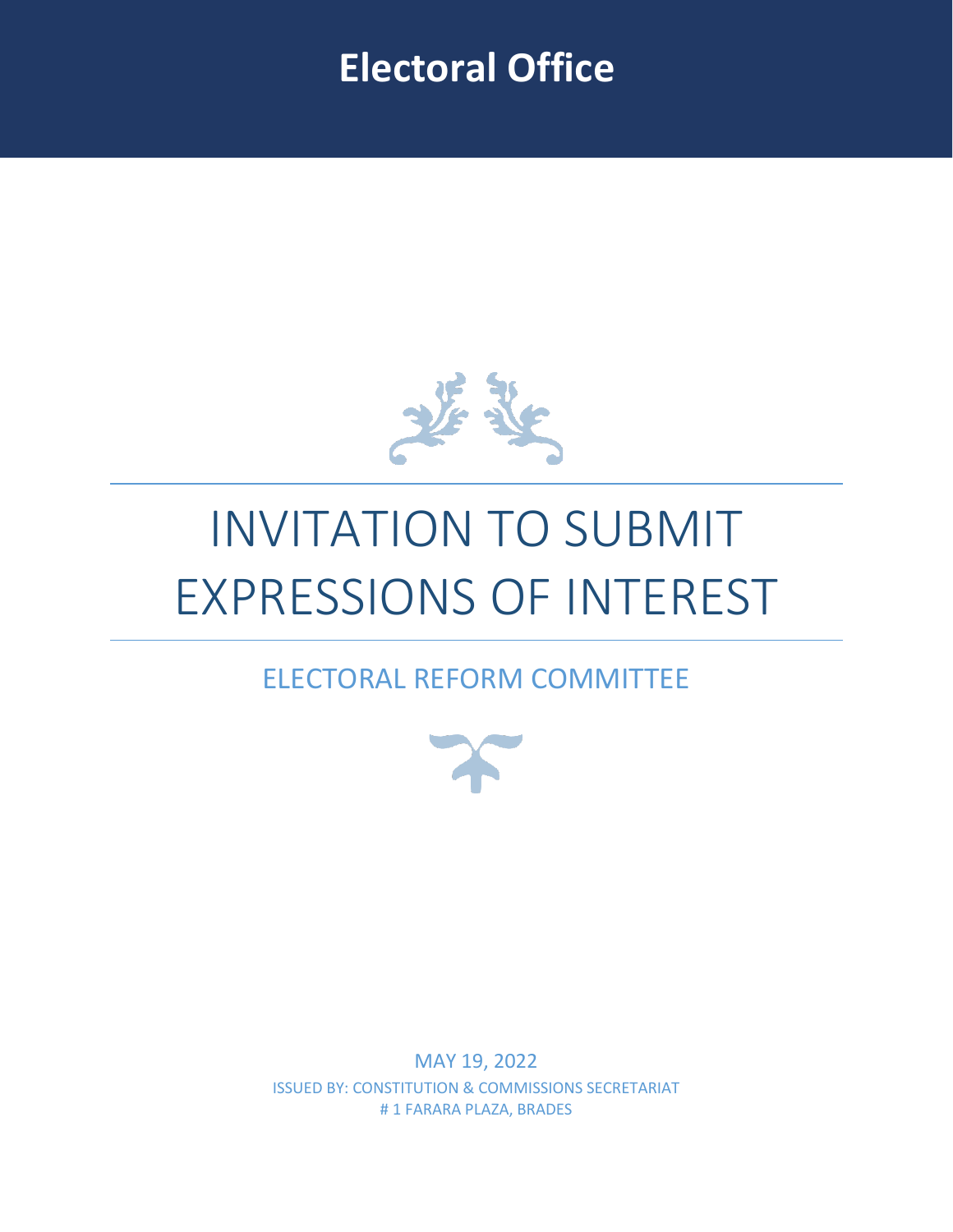### **Electoral Office**



# INVITATION TO SUBMIT EXPRESSIONS OF INTEREST

### ELECTORAL REFORM COMMITTEE



MAY 19, 2022 ISSUED BY: CONSTITUTION & COMMISSIONS SECRETARIAT # 1 FARARA PLAZA, BRADES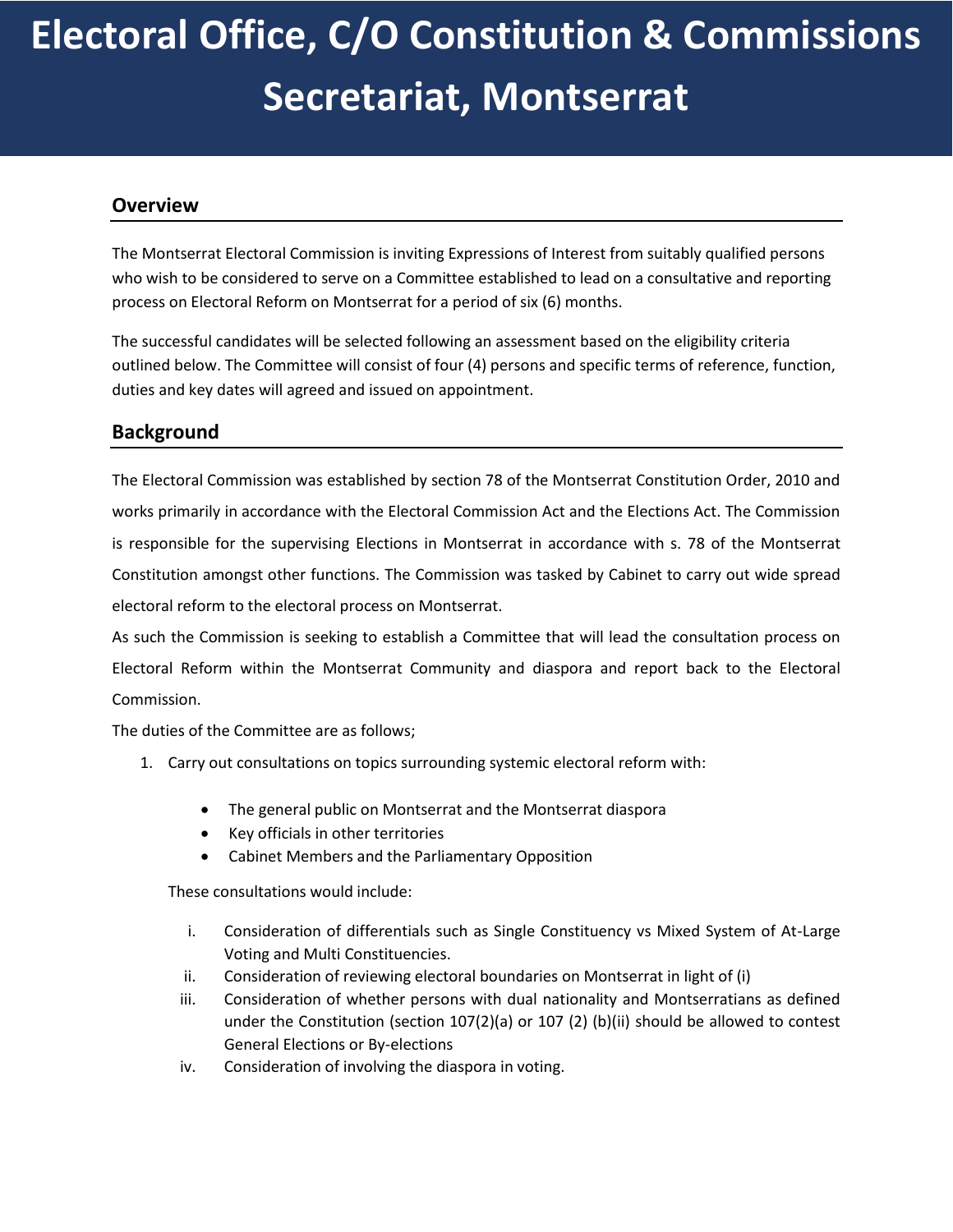## **Electoral Office, C/O Constitution & Commissions Secretariat, Montserrat**

#### **Overview**

The Montserrat Electoral Commission is inviting Expressions of Interest from suitably qualified persons who wish to be considered to serve on a Committee established to lead on a consultative and reporting process on Electoral Reform on Montserrat for a period of six (6) months.

The successful candidates will be selected following an assessment based on the eligibility criteria outlined below. The Committee will consist of four (4) persons and specific terms of reference, function, duties and key dates will agreed and issued on appointment.

#### **Background**

The Electoral Commission was established by section 78 of the Montserrat Constitution Order, 2010 and works primarily in accordance with the Electoral Commission Act and the Elections Act. The Commission is responsible for the supervising Elections in Montserrat in accordance with s. 78 of the Montserrat Constitution amongst other functions. The Commission was tasked by Cabinet to carry out wide spread electoral reform to the electoral process on Montserrat.

As such the Commission is seeking to establish a Committee that will lead the consultation process on Electoral Reform within the Montserrat Community and diaspora and report back to the Electoral Commission.

The duties of the Committee are as follows;

- 1. Carry out consultations on topics surrounding systemic electoral reform with:
	- The general public on Montserrat and the Montserrat diaspora
	- Key officials in other territories
	- Cabinet Members and the Parliamentary Opposition

These consultations would include:

- i. Consideration of differentials such as Single Constituency vs Mixed System of At-Large Voting and Multi Constituencies.
- ii. Consideration of reviewing electoral boundaries on Montserrat in light of (i)
- iii. Consideration of whether persons with dual nationality and Montserratians as defined under the Constitution (section  $107(2)(a)$  or  $107(2)$  (b)(ii) should be allowed to contest General Elections or By-elections
- iv. Consideration of involving the diaspora in voting.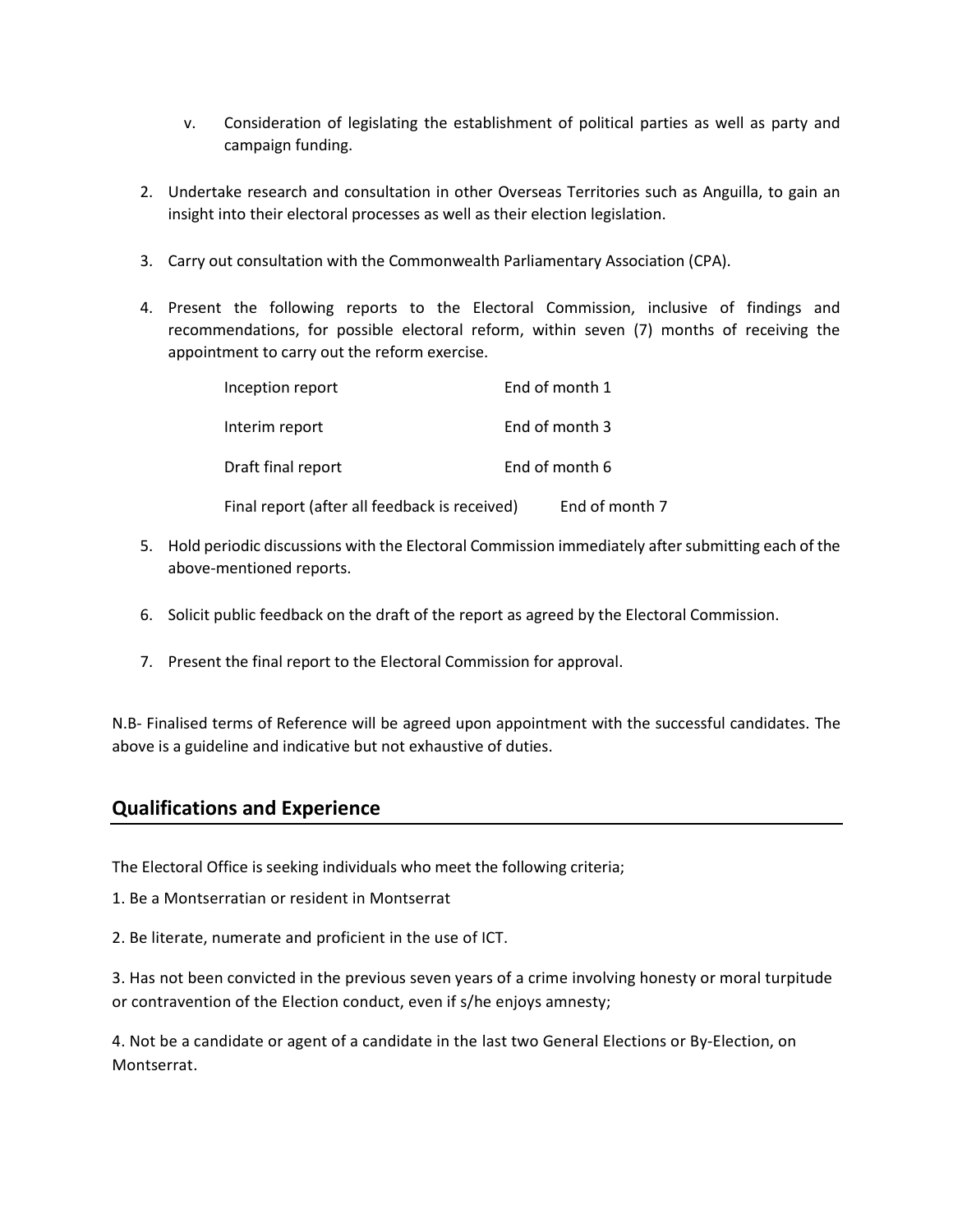- v. Consideration of legislating the establishment of political parties as well as party and campaign funding.
- 2. Undertake research and consultation in other Overseas Territories such as Anguilla, to gain an insight into their electoral processes as well as their election legislation.
- 3. Carry out consultation with the Commonwealth Parliamentary Association (CPA).
- 4. Present the following reports to the Electoral Commission, inclusive of findings and recommendations, for possible electoral reform, within seven (7) months of receiving the appointment to carry out the reform exercise.

| Inception report                              | End of month 1 |
|-----------------------------------------------|----------------|
| Interim report                                | End of month 3 |
| Draft final report                            | End of month 6 |
| Final report (after all feedback is received) | End of month 7 |

- 5. Hold periodic discussions with the Electoral Commission immediately after submitting each of the above-mentioned reports.
- 6. Solicit public feedback on the draft of the report as agreed by the Electoral Commission.
- 7. Present the final report to the Electoral Commission for approval.

N.B- Finalised terms of Reference will be agreed upon appointment with the successful candidates. The above is a guideline and indicative but not exhaustive of duties.

#### **Qualifications and Experience**

The Electoral Office is seeking individuals who meet the following criteria;

- 1. Be a Montserratian or resident in Montserrat
- 2. Be literate, numerate and proficient in the use of ICT.

3. Has not been convicted in the previous seven years of a crime involving honesty or moral turpitude or contravention of the Election conduct, even if s/he enjoys amnesty;

4. Not be a candidate or agent of a candidate in the last two General Elections or By-Election, on Montserrat.